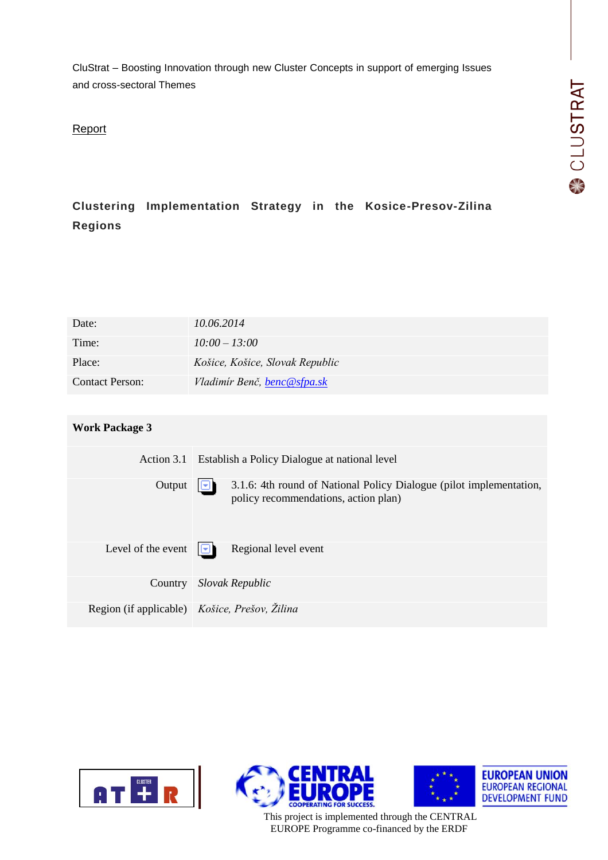CluStrat – Boosting Innovation through new Cluster Concepts in support of emerging Issues and cross-sectoral Themes

# Report

# **Clustering Implementation Strategy in the Kosice-Presov-Zilina Regions**

| Date:                  | 10.06.2014                      |
|------------------------|---------------------------------|
| Time:                  | $10:00 - 13:00$                 |
| Place:                 | Košice, Košice, Slovak Republic |
| <b>Contact Person:</b> | Vladimír Benč, benc@sfpa.sk     |

## **Work Package 3**

| Action 3.1                                    | Establish a Policy Dialogue at national level                                                               |
|-----------------------------------------------|-------------------------------------------------------------------------------------------------------------|
| Output                                        | 3.1.6: 4th round of National Policy Dialogue (pilot implementation,<br>policy recommendations, action plan) |
| Level of the event                            | Regional level event<br>التالا                                                                              |
| Country                                       | Slovak Republic                                                                                             |
| Region (if applicable) Košice, Prešov, Žilina |                                                                                                             |







This project is implemented through the CENTRAL EUROPE Programme co-financed by the ERDF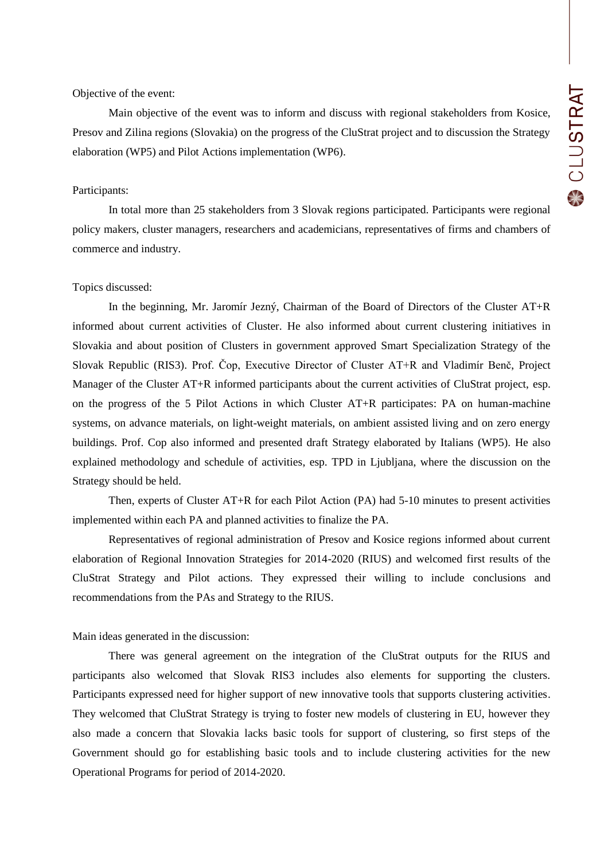#### Objective of the event:

Main objective of the event was to inform and discuss with regional stakeholders from Kosice, Presov and Zilina regions (Slovakia) on the progress of the CluStrat project and to discussion the Strategy elaboration (WP5) and Pilot Actions implementation (WP6).

#### Participants:

In total more than 25 stakeholders from 3 Slovak regions participated. Participants were regional policy makers, cluster managers, researchers and academicians, representatives of firms and chambers of commerce and industry.

## Topics discussed:

In the beginning, Mr. Jaromír Jezný, Chairman of the Board of Directors of the Cluster AT+R informed about current activities of Cluster. He also informed about current clustering initiatives in Slovakia and about position of Clusters in government approved Smart Specialization Strategy of the Slovak Republic (RIS3). Prof. Čop, Executive Director of Cluster AT+R and Vladimír Benč, Project Manager of the Cluster AT+R informed participants about the current activities of CluStrat project, esp. on the progress of the 5 Pilot Actions in which Cluster AT+R participates: PA on human-machine systems, on advance materials, on light-weight materials, on ambient assisted living and on zero energy buildings. Prof. Cop also informed and presented draft Strategy elaborated by Italians (WP5). He also explained methodology and schedule of activities, esp. TPD in Ljubljana, where the discussion on the Strategy should be held.

Then, experts of Cluster AT+R for each Pilot Action (PA) had 5-10 minutes to present activities implemented within each PA and planned activities to finalize the PA.

Representatives of regional administration of Presov and Kosice regions informed about current elaboration of Regional Innovation Strategies for 2014-2020 (RIUS) and welcomed first results of the CluStrat Strategy and Pilot actions. They expressed their willing to include conclusions and recommendations from the PAs and Strategy to the RIUS.

#### Main ideas generated in the discussion:

There was general agreement on the integration of the CluStrat outputs for the RIUS and participants also welcomed that Slovak RIS3 includes also elements for supporting the clusters. Participants expressed need for higher support of new innovative tools that supports clustering activities. They welcomed that CluStrat Strategy is trying to foster new models of clustering in EU, however they also made a concern that Slovakia lacks basic tools for support of clustering, so first steps of the Government should go for establishing basic tools and to include clustering activities for the new Operational Programs for period of 2014-2020.